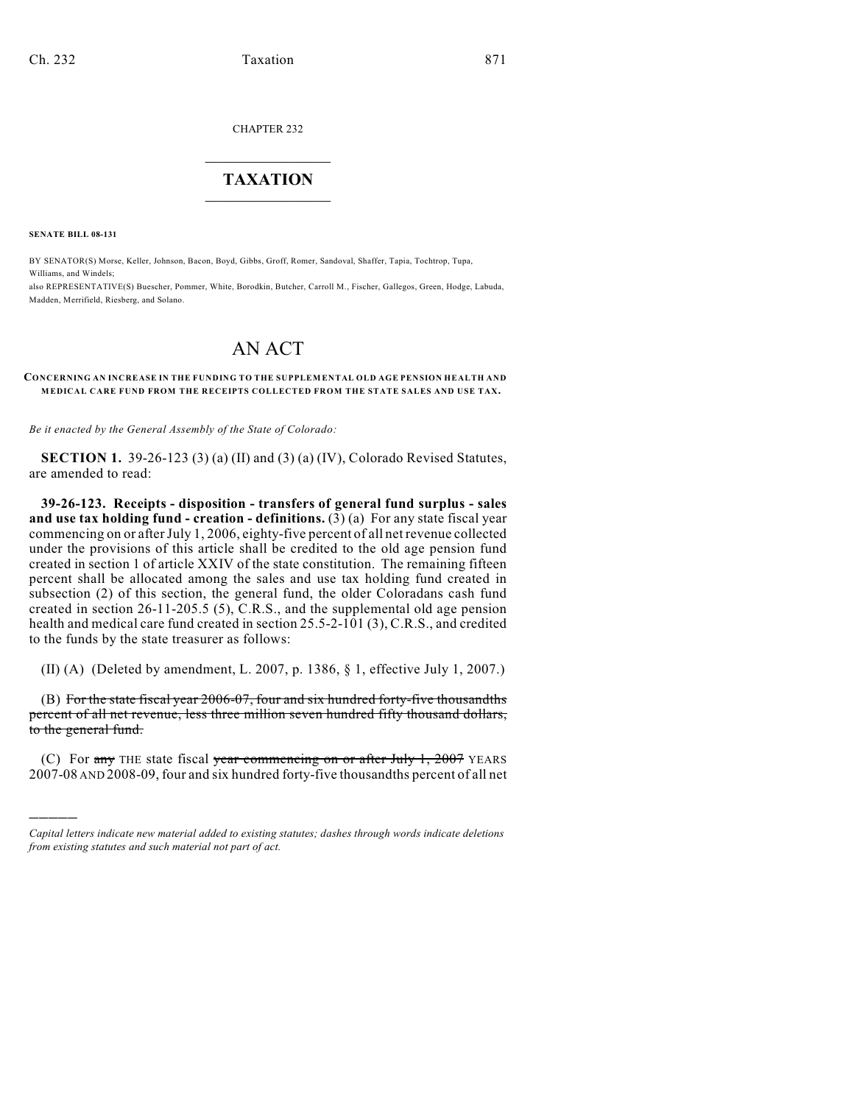CHAPTER 232

## $\mathcal{L}_\text{max}$  . The set of the set of the set of the set of the set of the set of the set of the set of the set of the set of the set of the set of the set of the set of the set of the set of the set of the set of the set **TAXATION**  $\_$

**SENATE BILL 08-131**

)))))

BY SENATOR(S) Morse, Keller, Johnson, Bacon, Boyd, Gibbs, Groff, Romer, Sandoval, Shaffer, Tapia, Tochtrop, Tupa, Williams, and Windels;

also REPRESENTATIVE(S) Buescher, Pommer, White, Borodkin, Butcher, Carroll M., Fischer, Gallegos, Green, Hodge, Labuda, Madden, Merrifield, Riesberg, and Solano.

## AN ACT

## **CONCERNING AN INCREASE IN THE FUNDING TO THE SUPPLEMENTAL OLD AGE PENSION HEALTH AND MEDICAL CARE FUND FROM THE RECEIPTS COLLECTED FROM THE STATE SALES AND USE TAX.**

*Be it enacted by the General Assembly of the State of Colorado:*

**SECTION 1.** 39-26-123 (3) (a) (II) and (3) (a) (IV), Colorado Revised Statutes, are amended to read:

**39-26-123. Receipts - disposition - transfers of general fund surplus - sales and use tax holding fund - creation - definitions.** (3) (a) For any state fiscal year commencing on or after July 1, 2006, eighty-five percent of all net revenue collected under the provisions of this article shall be credited to the old age pension fund created in section 1 of article XXIV of the state constitution. The remaining fifteen percent shall be allocated among the sales and use tax holding fund created in subsection (2) of this section, the general fund, the older Coloradans cash fund created in section 26-11-205.5 (5), C.R.S., and the supplemental old age pension health and medical care fund created in section 25.5-2-101 (3), C.R.S., and credited to the funds by the state treasurer as follows:

(II) (A) (Deleted by amendment, L. 2007, p. 1386, § 1, effective July 1, 2007.)

(B) For the state fiscal year 2006-07, four and six hundred forty-five thousandths percent of all net revenue, less three million seven hundred fifty thousand dollars, to the general fund.

(C) For  $\frac{any}{n}$  THE state fiscal year commencing on or after July 1, 2007 YEARS 2007-08 AND 2008-09, four and six hundred forty-five thousandths percent of all net

*Capital letters indicate new material added to existing statutes; dashes through words indicate deletions from existing statutes and such material not part of act.*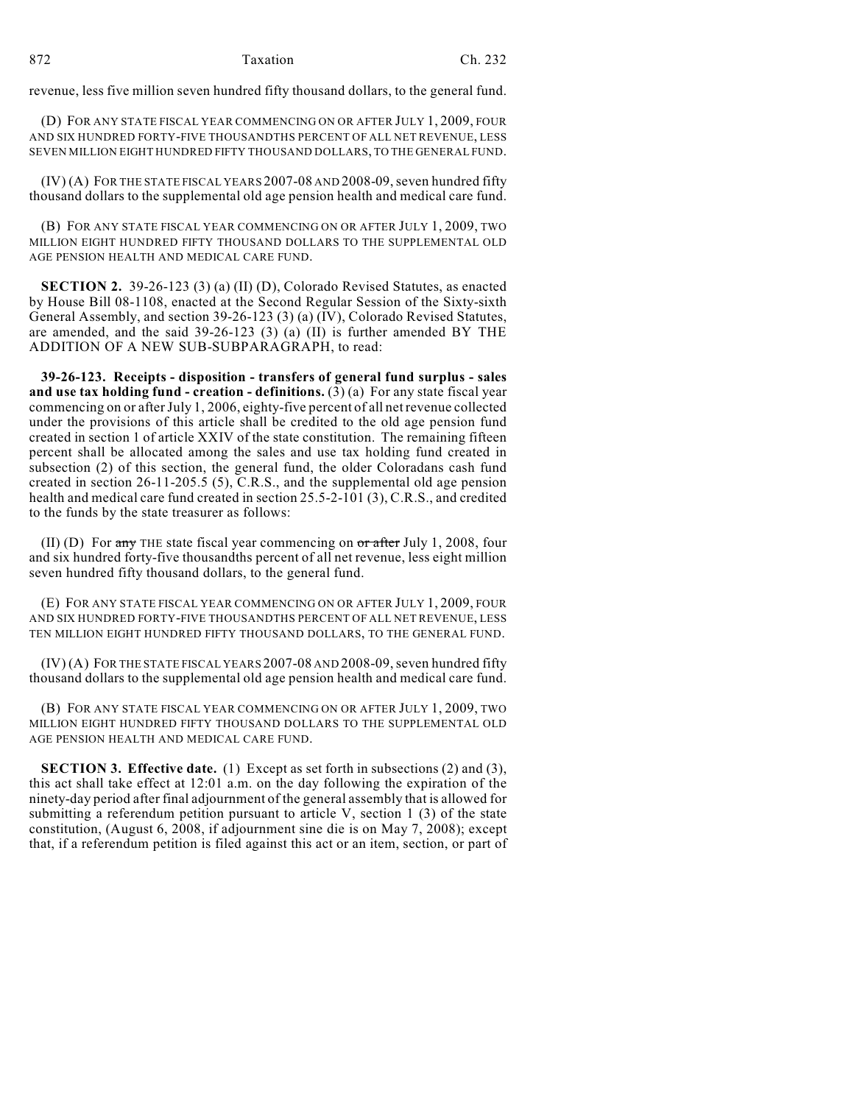revenue, less five million seven hundred fifty thousand dollars, to the general fund.

(D) FOR ANY STATE FISCAL YEAR COMMENCING ON OR AFTER JULY 1, 2009, FOUR AND SIX HUNDRED FORTY-FIVE THOUSANDTHS PERCENT OF ALL NET REVENUE, LESS SEVEN MILLION EIGHT HUNDRED FIFTY THOUSAND DOLLARS, TO THE GENERAL FUND.

(IV) (A) FOR THE STATE FISCAL YEARS 2007-08 AND 2008-09, seven hundred fifty thousand dollars to the supplemental old age pension health and medical care fund.

(B) FOR ANY STATE FISCAL YEAR COMMENCING ON OR AFTER JULY 1, 2009, TWO MILLION EIGHT HUNDRED FIFTY THOUSAND DOLLARS TO THE SUPPLEMENTAL OLD AGE PENSION HEALTH AND MEDICAL CARE FUND.

**SECTION 2.** 39-26-123 (3) (a) (II) (D), Colorado Revised Statutes, as enacted by House Bill 08-1108, enacted at the Second Regular Session of the Sixty-sixth General Assembly, and section 39-26-123 (3) (a) (IV), Colorado Revised Statutes, are amended, and the said 39-26-123 (3) (a) (II) is further amended BY THE ADDITION OF A NEW SUB-SUBPARAGRAPH, to read:

**39-26-123. Receipts - disposition - transfers of general fund surplus - sales and use tax holding fund - creation - definitions.** (3) (a) For any state fiscal year commencing on or after July 1, 2006, eighty-five percent of all net revenue collected under the provisions of this article shall be credited to the old age pension fund created in section 1 of article XXIV of the state constitution. The remaining fifteen percent shall be allocated among the sales and use tax holding fund created in subsection (2) of this section, the general fund, the older Coloradans cash fund created in section 26-11-205.5 (5), C.R.S., and the supplemental old age pension health and medical care fund created in section 25.5-2-101 (3), C.R.S., and credited to the funds by the state treasurer as follows:

(II) (D) For  $\frac{1}{2}$  THE state fiscal year commencing on  $\frac{1}{2}$  or  $\frac{1}{2}$  July 1, 2008, four and six hundred forty-five thousandths percent of all net revenue, less eight million seven hundred fifty thousand dollars, to the general fund.

(E) FOR ANY STATE FISCAL YEAR COMMENCING ON OR AFTER JULY 1, 2009, FOUR AND SIX HUNDRED FORTY-FIVE THOUSANDTHS PERCENT OF ALL NET REVENUE, LESS TEN MILLION EIGHT HUNDRED FIFTY THOUSAND DOLLARS, TO THE GENERAL FUND.

(IV) (A) FOR THE STATE FISCAL YEARS 2007-08 AND 2008-09, seven hundred fifty thousand dollars to the supplemental old age pension health and medical care fund.

(B) FOR ANY STATE FISCAL YEAR COMMENCING ON OR AFTER JULY 1, 2009, TWO MILLION EIGHT HUNDRED FIFTY THOUSAND DOLLARS TO THE SUPPLEMENTAL OLD AGE PENSION HEALTH AND MEDICAL CARE FUND.

**SECTION 3. Effective date.** (1) Except as set forth in subsections (2) and (3), this act shall take effect at 12:01 a.m. on the day following the expiration of the ninety-day period after final adjournment of the general assembly that is allowed for submitting a referendum petition pursuant to article V, section 1  $(3)$  of the state constitution, (August 6, 2008, if adjournment sine die is on May 7, 2008); except that, if a referendum petition is filed against this act or an item, section, or part of